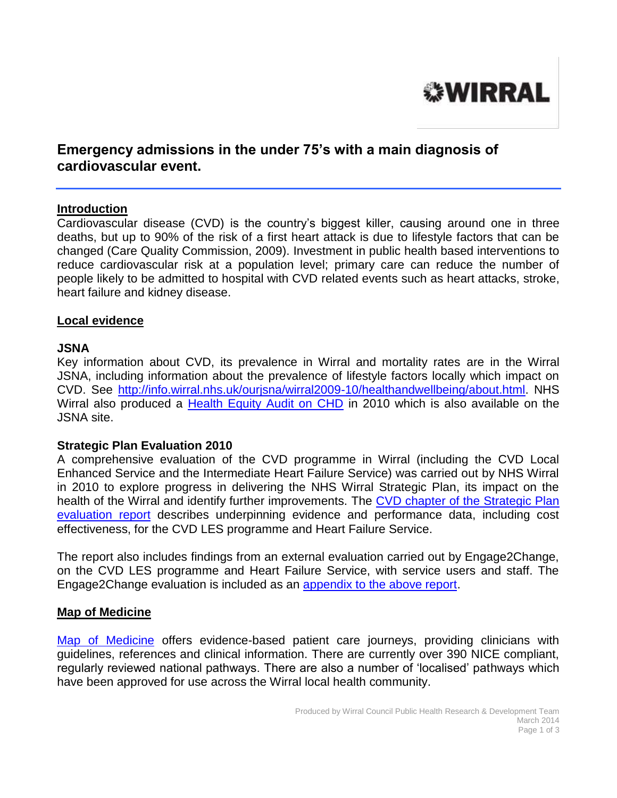

# **Emergency admissions in the under 75's with a main diagnosis of cardiovascular event.**

#### **Introduction**

Cardiovascular disease (CVD) is the country's biggest killer, causing around one in three deaths, but up to 90% of the risk of a first heart attack is due to lifestyle factors that can be changed (Care Quality Commission, 2009). Investment in public health based interventions to reduce cardiovascular risk at a population level; primary care can reduce the number of people likely to be admitted to hospital with CVD related events such as heart attacks, stroke, heart failure and kidney disease.

#### **Local evidence**

#### **JSNA**

Key information about CVD, its prevalence in Wirral and mortality rates are in the Wirral JSNA, including information about the prevalence of lifestyle factors locally which impact on CVD. See [http://info.wirral.nhs.uk/ourjsna/wirral2009-10/healthandwellbeing/about.html.](http://info.wirral.nhs.uk/ourjsna/wirral2009-10/healthandwellbeing/about.html) NHS Wirral also produced a [Health Equity Audit on CHD](http://info.wirral.nhs.uk/document_uploads/Publications/CHDEquityAuditFIN0210.pdf) in 2010 which is also available on the JSNA site.

#### **Strategic Plan Evaluation 2010**

A comprehensive evaluation of the CVD programme in Wirral (including the CVD Local Enhanced Service and the Intermediate Heart Failure Service) was carried out by NHS Wirral in 2010 to explore progress in delivering the NHS Wirral Strategic Plan, its impact on the health of the Wirral and identify further improvements. The CVD chapter of the Strategic Plan [evaluation report](http://info.wirral.nhs.uk/document_uploads/evaluation/SPYr1Eval-CVD(Ch7).pdf) describes underpinning evidence and performance data, including cost effectiveness, for the CVD LES programme and Heart Failure Service.

The report also includes findings from an external evaluation carried out by Engage2Change, on the CVD LES programme and Heart Failure Service, with service users and staff. The Engage2Change evaluation is included as an [appendix to the above report.](http://info.wirral.nhs.uk/document_uploads/evaluation/AppxI-IntermedHrtFlreCVDLESEvalFnlRepAug10.pdf)

#### **Map of Medicine**

Map of [Medicine](http://www.mapofmedicine.com/) offers evidence-based patient care journeys, providing clinicians with guidelines, references and clinical information. There are currently over 390 NICE compliant, regularly reviewed national pathways. There are also a number of 'localised' pathways which have been approved for use across the Wirral local health community.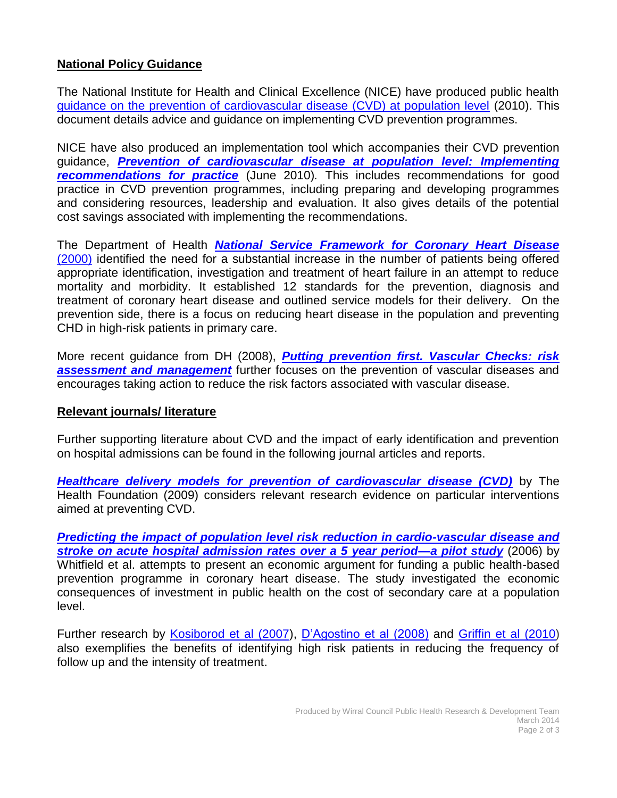### **National Policy Guidance**

The National Institute for Health and Clinical Excellence (NICE) have produced public health [guidance on the prevention of cardiovascular disease \(CVD\) at population level](http://www.nice.org.uk/nicemedia/live/13024/49273/49273.pdf) (2010). This document details advice and guidance on implementing CVD prevention programmes.

NICE have also produced an implementation tool which accompanies their CVD prevention guidance, *[Prevention of cardiovascular disease at population level: Implementing](http://www.nice.org.uk/nicemedia/live/13024/49394/49394.ppt)*  **[recommendations for practice](http://www.nice.org.uk/nicemedia/live/13024/49394/49394.ppt)** (June 2010). This includes recommendations for good practice in CVD prevention programmes, including preparing and developing programmes and considering resources, leadership and evaluation. It also gives details of the potential cost savings associated with implementing the recommendations.

The Department of Health *[National Service Framework for Coronary Heart Disease](http://www.dh.gov.uk/en/Publicationsandstatistics/Publications/PublicationsPolicyAndGuidance/DH_4094275)* [\(2000\)](http://www.dh.gov.uk/en/Publicationsandstatistics/Publications/PublicationsPolicyAndGuidance/DH_4094275) identified the need for a substantial increase in the number of patients being offered appropriate identification, investigation and treatment of heart failure in an attempt to reduce mortality and morbidity. It established 12 standards for the prevention, diagnosis and treatment of coronary heart disease and outlined service models for their delivery. On the prevention side, there is a focus on reducing heart disease in the population and preventing CHD in high-risk patients in primary care.

More recent guidance from DH (2008), *[Putting prevention first. Vascular Checks: risk](http://www.healthcheck.nhs.uk/document.php?o=227)  [assessment and management](http://www.healthcheck.nhs.uk/document.php?o=227)* further focuses on the prevention of vascular diseases and encourages taking action to reduce the risk factors associated with vascular disease.

### **Relevant journals/ literature**

Further supporting literature about CVD and the impact of early identification and prevention on hospital admissions can be found in the following journal articles and reports.

*[Healthcare delivery models for prevention of cardiovascular disease \(CVD\)](http://www.health.org.uk/public/cms/75/76/313/561/Healthcare%20delivery%20CVD.pdf?realName=eQl9Ca.pdf)* by The Health Foundation (2009) considers relevant research evidence on particular interventions aimed at preventing CVD.

*[Predicting the impact of population level risk reduction in cardio-vascular disease and](http://www.ncbi.nlm.nih.gov/pubmed/17084425)  [stroke on acute hospital admission rates over a 5 year period—a pilot study](http://www.ncbi.nlm.nih.gov/pubmed/17084425)* (2006) by Whitfield et al. attempts to present an economic argument for funding a public health-based prevention programme in coronary heart disease. The study investigated the economic consequences of investment in public health on the cost of secondary care at a population level.

Further research by [Kosiborod et al \(2007\)](http://circ.ahajournals.org/content/115/15/1975.full.pdf+html), [D'Agostino et al \(2008\)](http://circ.ahajournals.org/content/117/6/743.full.pdf+html) and [Griffin et al](http://www.bmj.com/highwire/filestream/352714/field_highwire_article_pdf/0.pdf) (2010) also exemplifies the benefits of identifying high risk patients in reducing the frequency of follow up and the intensity of treatment.